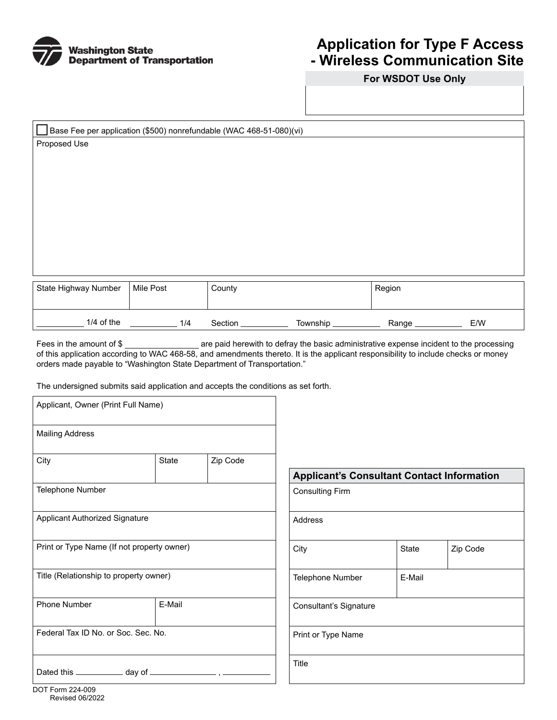

## **Application for Type F Access - Wireless Communication Site**

**For WSDOT Use Only** 

| Base Fee per application (\$500) nonrefundable (WAC 468-51-080)(vi) |           |        |        |  |  |  |  |  |
|---------------------------------------------------------------------|-----------|--------|--------|--|--|--|--|--|
| Proposed Use                                                        |           |        |        |  |  |  |  |  |
|                                                                     |           |        |        |  |  |  |  |  |
|                                                                     |           |        |        |  |  |  |  |  |
|                                                                     |           |        |        |  |  |  |  |  |
|                                                                     |           |        |        |  |  |  |  |  |
|                                                                     |           |        |        |  |  |  |  |  |
|                                                                     |           |        |        |  |  |  |  |  |
|                                                                     |           |        |        |  |  |  |  |  |
|                                                                     |           |        |        |  |  |  |  |  |
|                                                                     |           |        |        |  |  |  |  |  |
|                                                                     |           |        |        |  |  |  |  |  |
| State Highway Number                                                | Mile Post | County | Region |  |  |  |  |  |
|                                                                     |           |        |        |  |  |  |  |  |

Fees in the amount of \$ \_\_\_\_\_\_\_\_\_\_\_\_\_\_\_\_\_\_\_ are paid herewith to defray the basic administrative expense incident to the processing of this application according to WAC 468-58, and amendments thereto. It is the applicant responsibility to include checks or money orders made payable to "Washington State Department of Transportation."

1/4 of the 1/4 Section Township Range E/W

The undersigned submits said application and accepts the conditions as set forth.

| Applicant, Owner (Print Full Name)     |                                            |          |                                                   |              |          |  |
|----------------------------------------|--------------------------------------------|----------|---------------------------------------------------|--------------|----------|--|
| <b>Mailing Address</b>                 |                                            |          |                                                   |              |          |  |
| City                                   | State                                      | Zip Code | <b>Applicant's Consultant Contact Information</b> |              |          |  |
| Telephone Number                       |                                            |          | <b>Consulting Firm</b>                            |              |          |  |
| <b>Applicant Authorized Signature</b>  |                                            |          | Address                                           |              |          |  |
|                                        | Print or Type Name (If not property owner) |          | City                                              | <b>State</b> | Zip Code |  |
| Title (Relationship to property owner) |                                            |          | Telephone Number<br>E-Mail                        |              |          |  |
| Phone Number                           | E-Mail                                     |          | Consultant's Signature                            |              |          |  |
| Federal Tax ID No. or Soc. Sec. No.    |                                            |          | Print or Type Name                                |              |          |  |
|                                        |                                            |          | Title                                             |              |          |  |